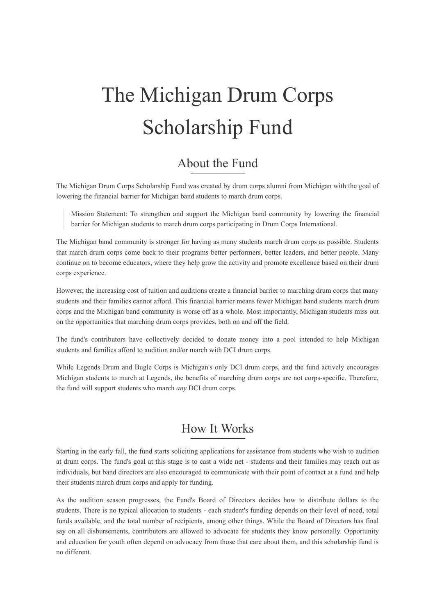# The Michigan Drum Corps Scholarship Fund

## About the Fund

The Michigan Drum Corps Scholarship Fund was created by drum corps alumni from Michigan with the goal of lowering the financial barrier for Michigan band students to march drum corps.

Mission Statement: To strengthen and support the Michigan band community by lowering the financial barrier for Michigan students to march drum corps participating in Drum Corps International.

The Michigan band community is stronger for having as many students march drum corps as possible. Students that march drum corps come back to their programs better performers, better leaders, and better people. Many continue on to become educators, where they help grow the activity and promote excellence based on their drum corps experience.

However, the increasing cost of tuition and auditions create a financial barrier to marching drum corps that many students and their families cannot afford. This financial barrier means fewer Michigan band students march drum corps and the Michigan band community is worse off as a whole. Most importantly, Michigan students miss out on the opportunities that marching drum corps provides, both on and off the field.

The fund's contributors have collectively decided to donate money into a pool intended to help Michigan students and families afford to audition and/or march with DCI drum corps.

While Legends Drum and Bugle Corps is Michigan's only DCI drum corps, and the fund actively encourages Michigan students to march at Legends, the benefits of marching drum corps are not corps-specific. Therefore, the fund will support students who march *any* DCI drum corps.

## How It Works

Starting in the early fall, the fund starts soliciting applications for assistance from students who wish to audition at drum corps. The fund's goal at this stage is to cast a wide net - students and their families may reach out as individuals, but band directors are also encouraged to communicate with their point of contact at a fund and help their students march drum corps and apply for funding.

As the audition season progresses, the Fund's Board of Directors decides how to distribute dollars to the students. There is no typical allocation to students - each student's funding depends on their level of need, total funds available, and the total number of recipients, among other things. While the Board of Directors has final say on all disbursements, contributors are allowed to advocate for students they know personally. Opportunity and education for youth often depend on advocacy from those that care about them, and this scholarship fund is no different.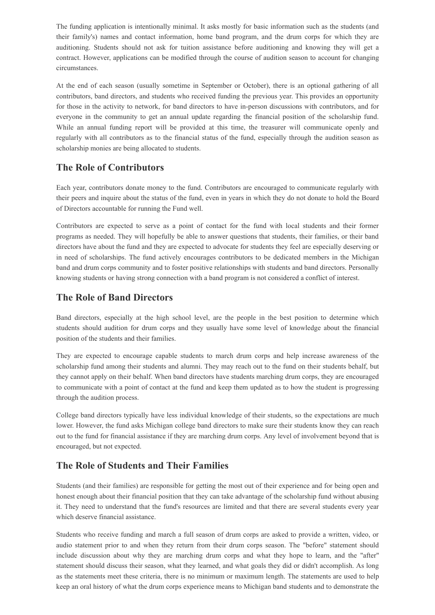The funding application is intentionally minimal. It asks mostly for basic information such as the students (and their family's) names and contact information, home band program, and the drum corps for which they are auditioning. Students should not ask for tuition assistance before auditioning and knowing they will get a contract. However, applications can be modified through the course of audition season to account for changing circumstances.

At the end of each season (usually sometime in September or October), there is an optional gathering of all contributors, band directors, and students who received funding the previous year. This provides an opportunity for those in the activity to network, for band directors to have in-person discussions with contributors, and for everyone in the community to get an annual update regarding the financial position of the scholarship fund. While an annual funding report will be provided at this time, the treasurer will communicate openly and regularly with all contributors as to the financial status of the fund, especially through the audition season as scholarship monies are being allocated to students.

## **The Role of Contributors**

Each year, contributors donate money to the fund. Contributors are encouraged to communicate regularly with their peers and inquire about the status of the fund, even in years in which they do not donate to hold the Board of Directors accountable for running the Fund well.

Contributors are expected to serve as a point of contact for the fund with local students and their former programs as needed. They will hopefully be able to answer questions that students, their families, or their band directors have about the fund and they are expected to advocate for students they feel are especially deserving or in need of scholarships. The fund actively encourages contributors to be dedicated members in the Michigan band and drum corps community and to foster positive relationships with students and band directors. Personally knowing students or having strong connection with a band program is not considered a conflict of interest.

## **The Role of Band Directors**

Band directors, especially at the high school level, are the people in the best position to determine which students should audition for drum corps and they usually have some level of knowledge about the financial position of the students and their families.

They are expected to encourage capable students to march drum corps and help increase awareness of the scholarship fund among their students and alumni. They may reach out to the fund on their students behalf, but they cannot apply on their behalf. When band directors have students marching drum corps, they are encouraged to communicate with a point of contact at the fund and keep them updated as to how the student is progressing through the audition process.

College band directors typically have less individual knowledge of their students, so the expectations are much lower. However, the fund asks Michigan college band directors to make sure their students know they can reach out to the fund for financial assistance if they are marching drum corps. Any level of involvement beyond that is encouraged, but not expected.

## **The Role of Students and Their Families**

Students (and their families) are responsible for getting the most out of their experience and for being open and honest enough about their financial position that they can take advantage of the scholarship fund without abusing it. They need to understand that the fund's resources are limited and that there are several students every year which deserve financial assistance.

Students who receive funding and march a full season of drum corps are asked to provide a written, video, or audio statement prior to and when they return from their drum corps season. The "before" statement should include discussion about why they are marching drum corps and what they hope to learn, and the "after" statement should discuss their season, what they learned, and what goals they did or didn't accomplish. As long as the statements meet these criteria, there is no minimum or maximum length. The statements are used to help keep an oral history of what the drum corps experience means to Michigan band students and to demonstrate the